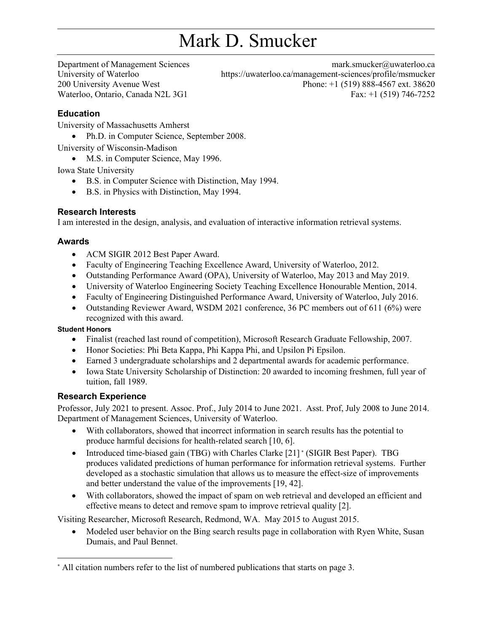# Mark D. Smucker

Department of Management Sciences University of Waterloo 200 University Avenue West Waterloo, Ontario, Canada N2L 3G1

mark.smucker@uwaterloo.ca <https://uwaterloo.ca/management-sciences/profile/msmucker> Phone: +1 (519) 888-4567 ext. 38620 Fax: +1 (519) 746-7252

# **Education**

University of Massachusetts Amherst

• Ph.D. in Computer Science, September 2008.

University of Wisconsin-Madison

• M.S. in Computer Science, May 1996.

Iowa State University

- B.S. in Computer Science with Distinction, May 1994.
- B.S. in Physics with Distinction, May 1994.

#### **Research Interests**

I am interested in the design, analysis, and evaluation of interactive information retrieval systems.

#### **Awards**

- ACM SIGIR 2012 Best Paper Award.
- Faculty of Engineering Teaching Excellence Award, University of Waterloo, 2012.
- Outstanding Performance Award (OPA), University of Waterloo, May 2013 and May 2019.
- University of Waterloo Engineering Society Teaching Excellence Honourable Mention, 2014.
- Faculty of Engineering Distinguished Performance Award, University of Waterloo, July 2016.
- Outstanding Reviewer Award, WSDM 2021 conference, 36 PC members out of 611 (6%) were recognized with this award.

#### **Student Honors**

- Finalist (reached last round of competition), Microsoft Research Graduate Fellowship, 2007.
- Honor Societies: Phi Beta Kappa, Phi Kappa Phi, and Upsilon Pi Epsilon.
- Earned 3 undergraduate scholarships and 2 departmental awards for academic performance.
- Iowa State University Scholarship of Distinction: 20 awarded to incoming freshmen, full year of tuition, fall 1989.

#### **Research Experience**

Professor, July 2021 to present. Assoc. Prof., July 2014 to June 2021. Asst. Prof, July 2008 to June 2014. Department of Management Sciences, University of Waterloo.

- With collaborators, showed that incorrect information in search results has the potential to produce harmful decisions for health-related search [10, 6].
- Introduced time-biased gain (TBG) with Charles Clarke [\[21\]](#page-3-0) [\\*](#page-0-0) (SIGIR Best Paper). TBG produces validated predictions of human performance for information retrieval systems. Further developed as a stochastic simulation that allows us to measure the effect-size of improvements and better understand the value of the improvements [\[19,](#page-3-1) [42\]](#page-6-0).
- With collaborators, showed the impact of spam on web retrieval and developed an efficient and effective means to detect and remove spam to improve retrieval quality [\[2\]](#page-2-0).

Visiting Researcher, Microsoft Research, Redmond, WA. May 2015 to August 2015.

• Modeled user behavior on the Bing search results page in collaboration with Ryen White, Susan Dumais, and Paul Bennet.

<span id="page-0-0"></span><sup>\*</sup> All citation numbers refer to the list of numbered publications that starts on page 3.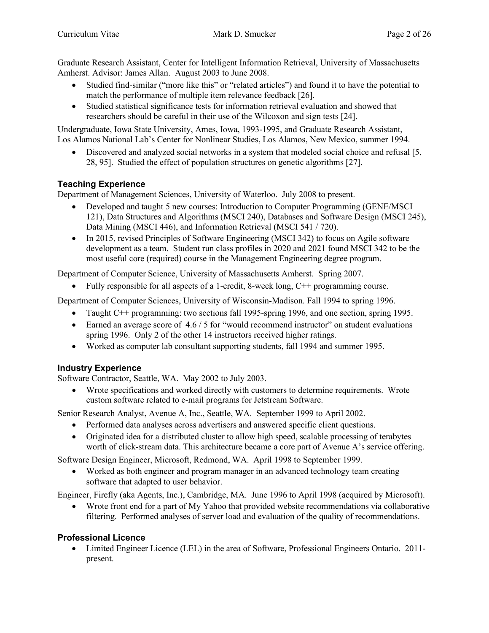Graduate Research Assistant, Center for Intelligent Information Retrieval, University of Massachusetts Amherst. Advisor: James Allan. August 2003 to June 2008.

- Studied find-similar ("more like this" or "related articles") and found it to have the potential to match the performance of multiple item relevance feedback [\[26\]](#page-4-0).
- Studied statistical significance tests for information retrieval evaluation and showed that researchers should be careful in their use of the Wilcoxon and sign tests [\[24\]](#page-4-1).

Undergraduate, Iowa State University, Ames, Iowa, 1993-1995, and Graduate Research Assistant, Los Alamos National Lab's Center for Nonlinear Studies, Los Alamos, New Mexico, summer 1994.

• Discovered and analyzed social networks in a system that modeled social choice and refusal [\[5,](#page-2-1) [28,](#page-4-2) [95\]](#page-10-0). Studied the effect of population structures on genetic algorithms [\[27\]](#page-4-3).

# **Teaching Experience**

Department of Management Sciences, University of Waterloo. July 2008 to present.

- Developed and taught 5 new courses: Introduction to Computer Programming (GENE/MSCI) 121), Data Structures and Algorithms (MSCI 240), Databases and Software Design (MSCI 245), Data Mining (MSCI 446), and Information Retrieval (MSCI 541 / 720).
- In 2015, revised Principles of Software Engineering (MSCI 342) to focus on Agile software development as a team. Student run class profiles in 2020 and 2021 found MSCI 342 to be the most useful core (required) course in the Management Engineering degree program.

Department of Computer Science, University of Massachusetts Amherst. Spring 2007.

• Fully responsible for all aspects of a 1-credit, 8-week long, C++ programming course.

Department of Computer Sciences, University of Wisconsin-Madison. Fall 1994 to spring 1996.

- Taught C++ programming: two sections fall 1995-spring 1996, and one section, spring 1995.
- Earned an average score of  $4.6 / 5$  for "would recommend instructor" on student evaluations spring 1996. Only 2 of the other 14 instructors received higher ratings.
- Worked as computer lab consultant supporting students, fall 1994 and summer 1995.

# **Industry Experience**

Software Contractor, Seattle, WA. May 2002 to July 2003.

• Wrote specifications and worked directly with customers to determine requirements. Wrote custom software related to e-mail programs for Jetstream Software.

Senior Research Analyst, Avenue A, Inc., Seattle, WA. September 1999 to April 2002.

- Performed data analyses across advertisers and answered specific client questions.
- Originated idea for a distributed cluster to allow high speed, scalable processing of terabytes worth of click-stream data. This architecture became a core part of Avenue A's service offering.

Software Design Engineer, Microsoft, Redmond, WA. April 1998 to September 1999.

• Worked as both engineer and program manager in an advanced technology team creating software that adapted to user behavior.

Engineer, Firefly (aka Agents, Inc.), Cambridge, MA. June 1996 to April 1998 (acquired by Microsoft).

• Wrote front end for a part of My Yahoo that provided website recommendations via collaborative filtering. Performed analyses of server load and evaluation of the quality of recommendations.

# **Professional Licence**

• Limited Engineer Licence (LEL) in the area of Software, Professional Engineers Ontario. 2011present.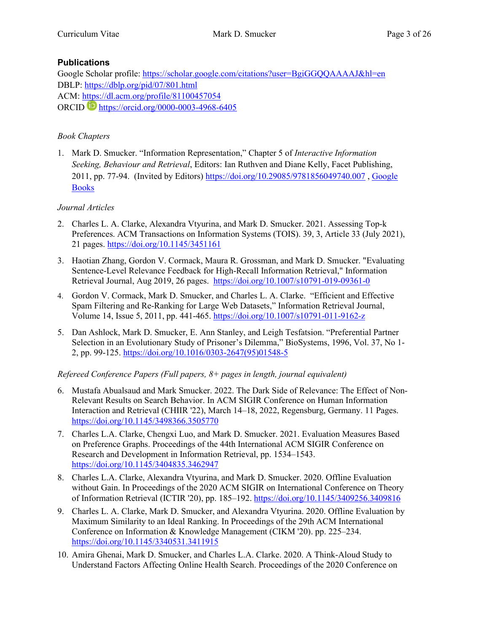# **Publications**

Google Scholar profile:<https://scholar.google.com/citations?user=BgiGGQQAAAAJ&hl=en> DBLP:<https://dblp.org/pid/07/801.html> ACM:<https://dl.acm.org/profile/81100457054> ORCID <https://orcid.org/0000-0003-4968-6405>

# *Book Chapters*

1. Mark D. Smucker. "Information Representation," Chapter 5 of *Interactive Information Seeking, Behaviour and Retrieval*, Editors: Ian Ruthven and Diane Kelly, Facet Publishing, 2011, pp. 77-94. (Invited by Editors) <https://doi.org/10.29085/9781856049740.007> , [Google](https://books.google.ca/books?id=Kd8qDgAAQBAJ&lpg=PA96&ots=DzHJ3t0RNo&dq=Information%20Representation%20smucker&pg=PA77#v=onepage&q=Information%20Representation%20smucker&f=false)  [Books](https://books.google.ca/books?id=Kd8qDgAAQBAJ&lpg=PA96&ots=DzHJ3t0RNo&dq=Information%20Representation%20smucker&pg=PA77#v=onepage&q=Information%20Representation%20smucker&f=false)

# *Journal Articles*

- <span id="page-2-0"></span>2. Charles L. A. Clarke, Alexandra Vtyurina, and Mark D. Smucker. 2021. Assessing Top-k Preferences. ACM Transactions on Information Systems (TOIS). 39, 3, Article 33 (July 2021), 21 pages.<https://doi.org/10.1145/3451161>
- 3. Haotian Zhang, Gordon V. Cormack, Maura R. Grossman, and Mark D. Smucker. "Evaluating Sentence-Level Relevance Feedback for High-Recall Information Retrieval," Information Retrieval Journal, Aug 2019, 26 pages. <https://doi.org/10.1007/s10791-019-09361-0>
- 4. Gordon V. Cormack, Mark D. Smucker, and Charles L. A. Clarke. "Efficient and Effective Spam Filtering and Re-Ranking for Large Web Datasets," Information Retrieval Journal, Volume 14, Issue 5, 2011, pp. 441-465. <https://doi.org/10.1007/s10791-011-9162-z>
- <span id="page-2-1"></span>5. Dan Ashlock, Mark D. Smucker, E. Ann Stanley, and Leigh Tesfatsion. "Preferential Partner Selection in an Evolutionary Study of Prisoner's Dilemma," BioSystems, 1996, Vol. 37, No 1- 2, pp. 99-125. [https://doi.org/10.1016/0303-2647\(95\)01548-5](https://doi.org/10.1016/0303-2647(95)01548-5)

# *Refereed Conference Papers (Full papers, 8+ pages in length, journal equivalent)*

- 6. Mustafa Abualsaud and Mark Smucker. 2022. The Dark Side of Relevance: The Effect of Non-Relevant Results on Search Behavior. In ACM SIGIR Conference on Human Information Interaction and Retrieval (CHIIR '22), March 14–18, 2022, Regensburg, Germany. 11 Pages. <https://doi.org/10.1145/3498366.3505770>
- 7. Charles L.A. Clarke, Chengxi Luo, and Mark D. Smucker. 2021. Evaluation Measures Based on Preference Graphs. Proceedings of the 44th International ACM SIGIR Conference on Research and Development in Information Retrieval, pp. 1534–1543. <https://doi.org/10.1145/3404835.3462947>
- 8. Charles L.A. Clarke, Alexandra Vtyurina, and Mark D. Smucker. 2020. Offline Evaluation without Gain. In Proceedings of the 2020 ACM SIGIR on International Conference on Theory of Information Retrieval (ICTIR '20), pp. 185–192.<https://doi.org/10.1145/3409256.3409816>
- 9. Charles L. A. Clarke, Mark D. Smucker, and Alexandra Vtyurina. 2020. Offline Evaluation by Maximum Similarity to an Ideal Ranking. In Proceedings of the 29th ACM International Conference on Information & Knowledge Management (CIKM '20). pp. 225–234. <https://doi.org/10.1145/3340531.3411915>
- 10. Amira Ghenai, Mark D. Smucker, and Charles L.A. Clarke. 2020. A Think-Aloud Study to Understand Factors Affecting Online Health Search. Proceedings of the 2020 Conference on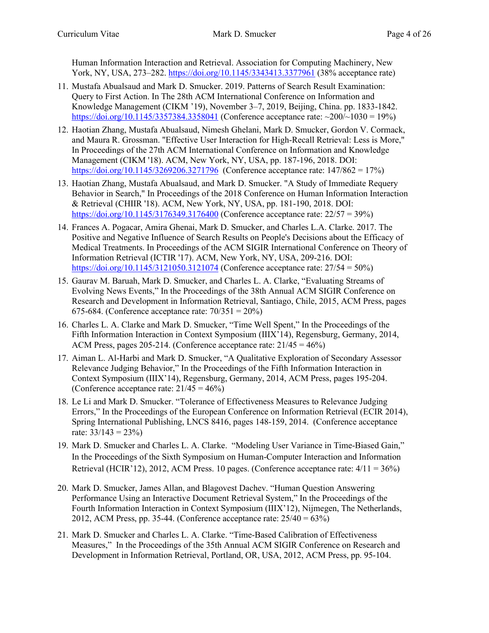Human Information Interaction and Retrieval. Association for Computing Machinery, New York, NY, USA, 273–282.<https://doi.org/10.1145/3343413.3377961> (38% acceptance rate)

- 11. Mustafa Abualsaud and Mark D. Smucker. 2019. Patterns of Search Result Examination: Query to First Action. In The 28th ACM International Conference on Information and Knowledge Management (CIKM '19), November 3–7, 2019, Beijing, China. pp. 1833-1842. <https://doi.org/10.1145/3357384.3358041> (Conference acceptance rate:  $\sim$ 200/ $\sim$ 1030 = 19%)
- 12. Haotian Zhang, Mustafa Abualsaud, Nimesh Ghelani, Mark D. Smucker, Gordon V. Cormack, and Maura R. Grossman. "Effective User Interaction for High-Recall Retrieval: Less is More," In Proceedings of the 27th ACM International Conference on Information and Knowledge Management (CIKM '18). ACM, New York, NY, USA, pp. 187-196, 2018. DOI: <https://doi.org/10.1145/3269206.3271796> (Conference acceptance rate: 147/862 = 17%)
- 13. Haotian Zhang, Mustafa Abualsaud, and Mark D. Smucker. "A Study of Immediate Requery Behavior in Search," In Proceedings of the 2018 Conference on Human Information Interaction & Retrieval (CHIIR '18). ACM, New York, NY, USA, pp. 181-190, 2018. DOI: <https://doi.org/10.1145/3176349.3176400> (Conference acceptance rate: 22/57 = 39%)
- 14. Frances A. Pogacar, Amira Ghenai, Mark D. Smucker, and Charles L.A. Clarke. 2017. The Positive and Negative Influence of Search Results on People's Decisions about the Efficacy of Medical Treatments. In Proceedings of the ACM SIGIR International Conference on Theory of Information Retrieval (ICTIR '17). ACM, New York, NY, USA, 209-216. DOI: <https://doi.org/10.1145/3121050.3121074> (Conference acceptance rate: 27/54 = 50%)
- 15. Gaurav M. Baruah, Mark D. Smucker, and Charles L. A. Clarke, "Evaluating Streams of Evolving News Events," In the Proceedings of the 38th Annual ACM SIGIR Conference on Research and Development in Information Retrieval, Santiago, Chile, 2015, ACM Press, pages 675-684. (Conference acceptance rate:  $70/351 = 20\%)$
- 16. Charles L. A. Clarke and Mark D. Smucker, "Time Well Spent," In the Proceedings of the Fifth Information Interaction in Context Symposium (IIIX'14), Regensburg, Germany, 2014, ACM Press, pages 205-214. (Conference acceptance rate:  $21/45 = 46\%$ )
- 17. Aiman L. Al-Harbi and Mark D. Smucker, "A Qualitative Exploration of Secondary Assessor Relevance Judging Behavior," In the Proceedings of the Fifth Information Interaction in Context Symposium (IIIX'14), Regensburg, Germany, 2014, ACM Press, pages 195-204. (Conference acceptance rate:  $21/45 = 46\%$ )
- 18. Le Li and Mark D. Smucker. "Tolerance of Effectiveness Measures to Relevance Judging Errors," In the Proceedings of the European Conference on Information Retrieval (ECIR 2014), Spring International Publishing, LNCS 8416, pages 148-159, 2014. (Conference acceptance rate:  $33/143 = 23\%$
- <span id="page-3-1"></span>19. Mark D. Smucker and Charles L. A. Clarke. "Modeling User Variance in Time-Biased Gain," In the Proceedings of the Sixth Symposium on Human-Computer Interaction and Information Retrieval (HCIR'12), 2012, ACM Press. 10 pages. (Conference acceptance rate:  $4/11 = 36\%$ )
- 20. Mark D. Smucker, James Allan, and Blagovest Dachev. "Human Question Answering Performance Using an Interactive Document Retrieval System," In the Proceedings of the Fourth Information Interaction in Context Symposium (IIIX'12), Nijmegen, The Netherlands, 2012, ACM Press, pp. 35-44. (Conference acceptance rate:  $25/40 = 63\%$ )
- <span id="page-3-0"></span>21. Mark D. Smucker and Charles L. A. Clarke. "Time-Based Calibration of Effectiveness Measures," In the Proceedings of the 35th Annual ACM SIGIR Conference on Research and Development in Information Retrieval, Portland, OR, USA, 2012, ACM Press, pp. 95-104.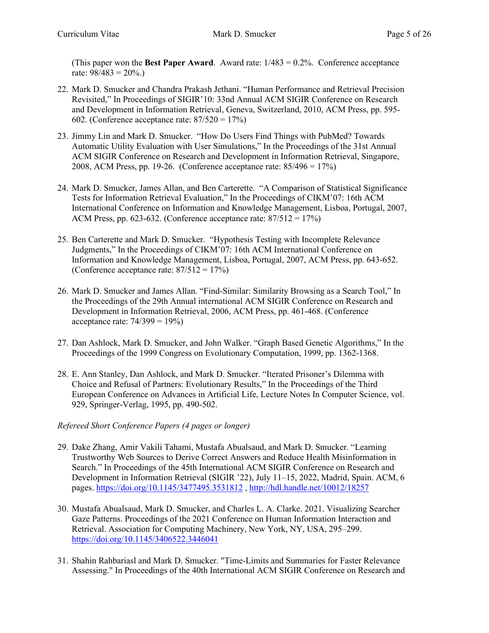(This paper won the **Best Paper Award**. Award rate: 1/483 = 0.2%. Conference acceptance rate:  $98/483 = 20\%$ .)

- 22. Mark D. Smucker and Chandra Prakash Jethani. "Human Performance and Retrieval Precision Revisited," In Proceedings of SIGIR'10: 33nd Annual ACM SIGIR Conference on Research and Development in Information Retrieval, Geneva, Switzerland, 2010, ACM Press, pp. 595- 602. (Conference acceptance rate:  $87/520 = 17\%)$
- 23. Jimmy Lin and Mark D. Smucker. "How Do Users Find Things with PubMed? Towards Automatic Utility Evaluation with User Simulations," In the Proceedings of the 31st Annual ACM SIGIR Conference on Research and Development in Information Retrieval, Singapore, 2008, ACM Press, pp. 19-26. (Conference acceptance rate: 85/496 = 17%)
- <span id="page-4-1"></span>24. Mark D. Smucker, James Allan, and Ben Carterette. "A Comparison of Statistical Significance Tests for Information Retrieval Evaluation," In the Proceedings of CIKM'07: 16th ACM International Conference on Information and Knowledge Management, Lisboa, Portugal, 2007, ACM Press, pp. 623-632. (Conference acceptance rate:  $87/512 = 17\%)$
- 25. Ben Carterette and Mark D. Smucker. "Hypothesis Testing with Incomplete Relevance Judgments," In the Proceedings of CIKM'07: 16th ACM International Conference on Information and Knowledge Management, Lisboa, Portugal, 2007, ACM Press, pp. 643-652. (Conference acceptance rate:  $87/512 = 17%$ )
- <span id="page-4-0"></span>26. Mark D. Smucker and James Allan. "Find-Similar: Similarity Browsing as a Search Tool," In the Proceedings of the 29th Annual international ACM SIGIR Conference on Research and Development in Information Retrieval, 2006, ACM Press, pp. 461-468. (Conference acceptance rate:  $74/399 = 19\%$
- <span id="page-4-3"></span>27. Dan Ashlock, Mark D. Smucker, and John Walker. "Graph Based Genetic Algorithms," In the Proceedings of the 1999 Congress on Evolutionary Computation, 1999, pp. 1362-1368.
- <span id="page-4-2"></span>28. E. Ann Stanley, Dan Ashlock, and Mark D. Smucker. "Iterated Prisoner's Dilemma with Choice and Refusal of Partners: Evolutionary Results," In the Proceedings of the Third European Conference on Advances in Artificial Life, Lecture Notes In Computer Science, vol. 929, Springer-Verlag, 1995, pp. 490-502.

# *Refereed Short Conference Papers (4 pages or longer)*

- 29. Dake Zhang, Amir Vakili Tahami, Mustafa Abualsaud, and Mark D. Smucker. "Learning Trustworthy Web Sources to Derive Correct Answers and Reduce Health Misinformation in Search." In Proceedings of the 45th International ACM SIGIR Conference on Research and Development in Information Retrieval (SIGIR '22), July 11–15, 2022, Madrid, Spain. ACM, 6 pages.<https://doi.org/10.1145/3477495.3531812> ,<http://hdl.handle.net/10012/18257>
- 30. Mustafa Abualsaud, Mark D. Smucker, and Charles L. A. Clarke. 2021. Visualizing Searcher Gaze Patterns. Proceedings of the 2021 Conference on Human Information Interaction and Retrieval. Association for Computing Machinery, New York, NY, USA, 295–299. <https://doi.org/10.1145/3406522.3446041>
- 31. Shahin Rahbariasl and Mark D. Smucker. "Time-Limits and Summaries for Faster Relevance Assessing." In Proceedings of the 40th International ACM SIGIR Conference on Research and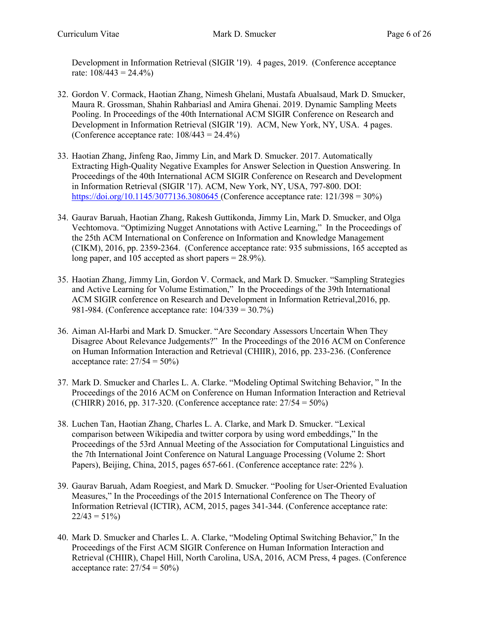Development in Information Retrieval (SIGIR '19). 4 pages, 2019. (Conference acceptance rate:  $108/443 = 24.4\%$ 

- 32. Gordon V. Cormack, Haotian Zhang, Nimesh Ghelani, Mustafa Abualsaud, Mark D. Smucker, Maura R. Grossman, Shahin Rahbariasl and Amira Ghenai. 2019. Dynamic Sampling Meets Pooling. In Proceedings of the 40th International ACM SIGIR Conference on Research and Development in Information Retrieval (SIGIR '19). ACM, New York, NY, USA. 4 pages. (Conference acceptance rate:  $108/443 = 24.4\%$ )
- 33. Haotian Zhang, Jinfeng Rao, Jimmy Lin, and Mark D. Smucker. 2017. Automatically Extracting High-Quality Negative Examples for Answer Selection in Question Answering. In Proceedings of the 40th International ACM SIGIR Conference on Research and Development in Information Retrieval (SIGIR '17). ACM, New York, NY, USA, 797-800. DOI: <https://doi.org/10.1145/3077136.3080645> (Conference acceptance rate: 121/398 = 30%)
- 34. Gaurav Baruah, Haotian Zhang, Rakesh Guttikonda, Jimmy Lin, Mark D. Smucker, and Olga Vechtomova. "Optimizing Nugget Annotations with Active Learning," In the Proceedings of the 25th ACM International on Conference on Information and Knowledge Management (CIKM), 2016, pp. 2359-2364. (Conference acceptance rate: 935 submissions, 165 accepted as long paper, and 105 accepted as short papers = 28.9%).
- 35. Haotian Zhang, Jimmy Lin, Gordon V. Cormack, and Mark D. Smucker. "Sampling Strategies and Active Learning for Volume Estimation," In the Proceedings of the 39th International ACM SIGIR conference on Research and Development in Information Retrieval,2016, pp. 981-984. (Conference acceptance rate: 104/339 = 30.7%)
- 36. Aiman Al-Harbi and Mark D. Smucker. "Are Secondary Assessors Uncertain When They Disagree About Relevance Judgements?" In the Proceedings of the 2016 ACM on Conference on Human Information Interaction and Retrieval (CHIIR), 2016, pp. 233-236. (Conference acceptance rate:  $27/54 = 50\%$
- 37. Mark D. Smucker and Charles L. A. Clarke. "Modeling Optimal Switching Behavior, " In the Proceedings of the 2016 ACM on Conference on Human Information Interaction and Retrieval (CHIRR) 2016, pp. 317-320. (Conference acceptance rate:  $27/54 = 50\%$ )
- 38. Luchen Tan, Haotian Zhang, Charles L. A. Clarke, and Mark D. Smucker. "Lexical comparison between Wikipedia and twitter corpora by using word embeddings," In the Proceedings of the 53rd Annual Meeting of the Association for Computational Linguistics and the 7th International Joint Conference on Natural Language Processing (Volume 2: Short Papers), Beijing, China, 2015, pages 657-661. (Conference acceptance rate: 22%).
- 39. Gaurav Baruah, Adam Roegiest, and Mark D. Smucker. "Pooling for User-Oriented Evaluation Measures," In the Proceedings of the 2015 International Conference on The Theory of Information Retrieval (ICTIR), ACM, 2015, pages 341-344. (Conference acceptance rate:  $22/43 = 51\%$
- 40. Mark D. Smucker and Charles L. A. Clarke, "Modeling Optimal Switching Behavior," In the Proceedings of the First ACM SIGIR Conference on Human Information Interaction and Retrieval (CHIIR), Chapel Hill, North Carolina, USA, 2016, ACM Press, 4 pages. (Conference acceptance rate:  $27/54 = 50\%$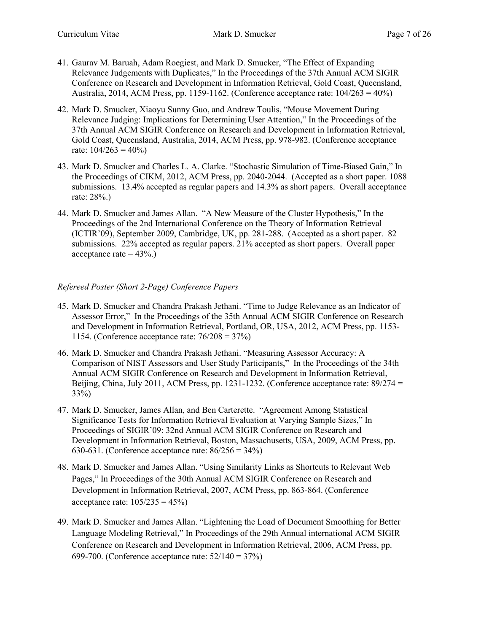- 41. Gaurav M. Baruah, Adam Roegiest, and Mark D. Smucker, "The Effect of Expanding Relevance Judgements with Duplicates," In the Proceedings of the 37th Annual ACM SIGIR Conference on Research and Development in Information Retrieval, Gold Coast, Queensland, Australia, 2014, ACM Press, pp. 1159-1162. (Conference acceptance rate:  $104/263 = 40\%)$
- 42. Mark D. Smucker, Xiaoyu Sunny Guo, and Andrew Toulis, "Mouse Movement During Relevance Judging: Implications for Determining User Attention," In the Proceedings of the 37th Annual ACM SIGIR Conference on Research and Development in Information Retrieval, Gold Coast, Queensland, Australia, 2014, ACM Press, pp. 978-982. (Conference acceptance rate:  $104/263 = 40\%$
- <span id="page-6-0"></span>43. Mark D. Smucker and Charles L. A. Clarke. "Stochastic Simulation of Time-Biased Gain," In the Proceedings of CIKM, 2012, ACM Press, pp. 2040-2044. (Accepted as a short paper. 1088 submissions. 13.4% accepted as regular papers and 14.3% as short papers. Overall acceptance rate: 28%.)
- 44. Mark D. Smucker and James Allan. "A New Measure of the Cluster Hypothesis," In the Proceedings of the 2nd International Conference on the Theory of Information Retrieval (ICTIR'09), September 2009, Cambridge, UK, pp. 281-288. (Accepted as a short paper. 82 submissions. 22% accepted as regular papers. 21% accepted as short papers. Overall paper acceptance rate  $= 43\%$ .

# *Refereed Poster (Short 2-Page) Conference Papers*

- 45. Mark D. Smucker and Chandra Prakash Jethani. "Time to Judge Relevance as an Indicator of Assessor Error," In the Proceedings of the 35th Annual ACM SIGIR Conference on Research and Development in Information Retrieval, Portland, OR, USA, 2012, ACM Press, pp. 1153- 1154. (Conference acceptance rate: 76/208 = 37%)
- 46. Mark D. Smucker and Chandra Prakash Jethani. "Measuring Assessor Accuracy: A Comparison of NIST Assessors and User Study Participants," In the Proceedings of the 34th Annual ACM SIGIR Conference on Research and Development in Information Retrieval, Beijing, China, July 2011, ACM Press, pp. 1231-1232. (Conference acceptance rate:  $89/274 =$ 33%)
- 47. Mark D. Smucker, James Allan, and Ben Carterette. "Agreement Among Statistical Significance Tests for Information Retrieval Evaluation at Varying Sample Sizes," In Proceedings of SIGIR'09: 32nd Annual ACM SIGIR Conference on Research and Development in Information Retrieval, Boston, Massachusetts, USA, 2009, ACM Press, pp. 630-631. (Conference acceptance rate:  $86/256 = 34\%$ )
- 48. Mark D. Smucker and James Allan. "Using Similarity Links as Shortcuts to Relevant Web Pages," In Proceedings of the 30th Annual ACM SIGIR Conference on Research and Development in Information Retrieval, 2007, ACM Press, pp. 863-864. (Conference acceptance rate:  $105/235 = 45\%$
- 49. Mark D. Smucker and James Allan. "Lightening the Load of Document Smoothing for Better Language Modeling Retrieval," In Proceedings of the 29th Annual international ACM SIGIR Conference on Research and Development in Information Retrieval, 2006, ACM Press, pp. 699-700. (Conference acceptance rate: 52/140 = 37%)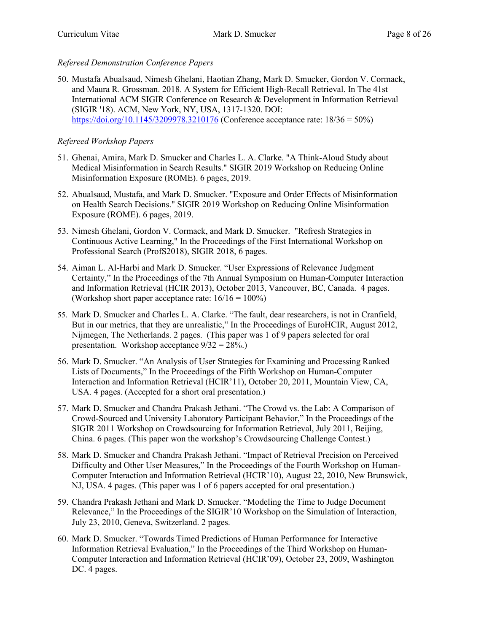# *Refereed Demonstration Conference Papers*

50. Mustafa Abualsaud, Nimesh Ghelani, Haotian Zhang, Mark D. Smucker, Gordon V. Cormack, and Maura R. Grossman. 2018. A System for Efficient High-Recall Retrieval. In The 41st International ACM SIGIR Conference on Research & Development in Information Retrieval (SIGIR '18). ACM, New York, NY, USA, 1317-1320. DOI: <https://doi.org/10.1145/3209978.3210176> (Conference acceptance rate: 18/36 = 50%)

# *Refereed Workshop Papers*

- 51. Ghenai, Amira, Mark D. Smucker and Charles L. A. Clarke. "A Think-Aloud Study about Medical Misinformation in Search Results." SIGIR 2019 Workshop on Reducing Online Misinformation Exposure (ROME). 6 pages, 2019.
- 52. Abualsaud, Mustafa, and Mark D. Smucker. "Exposure and Order Effects of Misinformation on Health Search Decisions." SIGIR 2019 Workshop on Reducing Online Misinformation Exposure (ROME). 6 pages, 2019.
- 53. Nimesh Ghelani, Gordon V. Cormack, and Mark D. Smucker. "Refresh Strategies in Continuous Active Learning," In the Proceedings of the First International Workshop on Professional Search (ProfS2018), SIGIR 2018, 6 pages.
- 54. Aiman L. Al-Harbi and Mark D. Smucker. "User Expressions of Relevance Judgment Certainty," In the Proceedings of the 7th Annual Symposium on Human-Computer Interaction and Information Retrieval (HCIR 2013), October 2013, Vancouver, BC, Canada. 4 pages. (Workshop short paper acceptance rate:  $16/16 = 100\%$ )
- 55. Mark D. Smucker and Charles L. A. Clarke. "The fault, dear researchers, is not in Cranfield, But in our metrics, that they are unrealistic," In the Proceedings of EuroHCIR, August 2012, Nijmegen, The Netherlands. 2 pages. (This paper was 1 of 9 papers selected for oral presentation. Workshop acceptance  $9/32 = 28\%$ .
- 56. Mark D. Smucker. "An Analysis of User Strategies for Examining and Processing Ranked Lists of Documents," In the Proceedings of the Fifth Workshop on Human-Computer Interaction and Information Retrieval (HCIR'11), October 20, 2011, Mountain View, CA, USA. 4 pages. (Accepted for a short oral presentation.)
- 57. Mark D. Smucker and Chandra Prakash Jethani. "The Crowd vs. the Lab: A Comparison of Crowd-Sourced and University Laboratory Participant Behavior," In the Proceedings of the SIGIR 2011 Workshop on Crowdsourcing for Information Retrieval, July 2011, Beijing, China. 6 pages. (This paper won the workshop's Crowdsourcing Challenge Contest.)
- 58. Mark D. Smucker and Chandra Prakash Jethani. "Impact of Retrieval Precision on Perceived Difficulty and Other User Measures," In the Proceedings of the Fourth Workshop on Human-Computer Interaction and Information Retrieval (HCIR'10), August 22, 2010, New Brunswick, NJ, USA. 4 pages. (This paper was 1 of 6 papers accepted for oral presentation.)
- 59. Chandra Prakash Jethani and Mark D. Smucker. "Modeling the Time to Judge Document Relevance," In the Proceedings of the SIGIR'10 Workshop on the Simulation of Interaction, July 23, 2010, Geneva, Switzerland. 2 pages.
- 60. Mark D. Smucker. "Towards Timed Predictions of Human Performance for Interactive Information Retrieval Evaluation," In the Proceedings of the Third Workshop on Human-Computer Interaction and Information Retrieval (HCIR'09), October 23, 2009, Washington DC. 4 pages.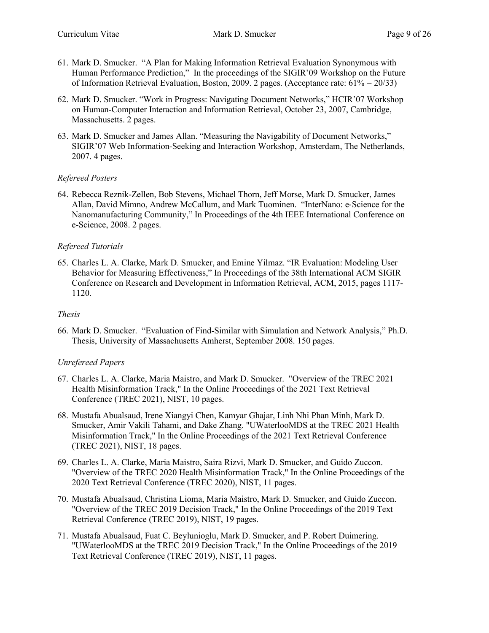- 61. Mark D. Smucker. "A Plan for Making Information Retrieval Evaluation Synonymous with Human Performance Prediction," In the proceedings of the SIGIR'09 Workshop on the Future of Information Retrieval Evaluation, Boston, 2009. 2 pages. (Acceptance rate: 61% = 20/33)
- 62. Mark D. Smucker. "Work in Progress: Navigating Document Networks," HCIR'07 Workshop on Human-Computer Interaction and Information Retrieval, October 23, 2007, Cambridge, Massachusetts. 2 pages.
- 63. Mark D. Smucker and James Allan. "Measuring the Navigability of Document Networks," SIGIR'07 Web Information-Seeking and Interaction Workshop, Amsterdam, The Netherlands, 2007. 4 pages.

#### *Refereed Posters*

64. Rebecca Reznik-Zellen, Bob Stevens, Michael Thorn, Jeff Morse, Mark D. Smucker, James Allan, David Mimno, Andrew McCallum, and Mark Tuominen. "InterNano: e‐Science for the Nanomanufacturing Community," In Proceedings of the 4th IEEE International Conference on e-Science, 2008. 2 pages.

#### *Refereed Tutorials*

65. Charles L. A. Clarke, Mark D. Smucker, and Emine Yilmaz. "IR Evaluation: Modeling User Behavior for Measuring Effectiveness," In Proceedings of the 38th International ACM SIGIR Conference on Research and Development in Information Retrieval, ACM, 2015, pages 1117- 1120.

#### *Thesis*

66. Mark D. Smucker. "Evaluation of Find-Similar with Simulation and Network Analysis," Ph.D. Thesis, University of Massachusetts Amherst, September 2008. 150 pages.

#### *Unrefereed Papers*

- 67. Charles L. A. Clarke, Maria Maistro, and Mark D. Smucker. "Overview of the TREC 2021 Health Misinformation Track," In the Online Proceedings of the 2021 Text Retrieval Conference (TREC 2021), NIST, 10 pages.
- 68. Mustafa Abualsaud, Irene Xiangyi Chen, Kamyar Ghajar, Linh Nhi Phan Minh, Mark D. Smucker, Amir Vakili Tahami, and Dake Zhang. "UWaterlooMDS at the TREC 2021 Health Misinformation Track," In the Online Proceedings of the 2021 Text Retrieval Conference (TREC 2021), NIST, 18 pages.
- 69. Charles L. A. Clarke, Maria Maistro, Saira Rizvi, Mark D. Smucker, and Guido Zuccon. "Overview of the TREC 2020 Health Misinformation Track," In the Online Proceedings of the 2020 Text Retrieval Conference (TREC 2020), NIST, 11 pages.
- 70. Mustafa Abualsaud, Christina Lioma, Maria Maistro, Mark D. Smucker, and Guido Zuccon. "Overview of the TREC 2019 Decision Track," In the Online Proceedings of the 2019 Text Retrieval Conference (TREC 2019), NIST, 19 pages.
- 71. Mustafa Abualsaud, Fuat C. Beylunioglu, Mark D. Smucker, and P. Robert Duimering. "UWaterlooMDS at the TREC 2019 Decision Track," In the Online Proceedings of the 2019 Text Retrieval Conference (TREC 2019), NIST, 11 pages.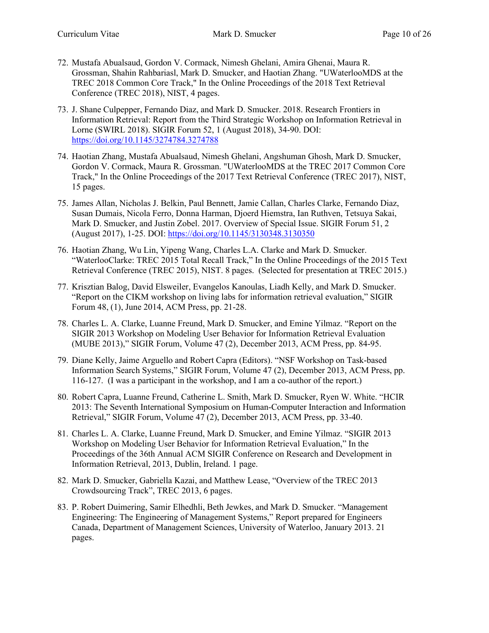- 72. Mustafa Abualsaud, Gordon V. Cormack, Nimesh Ghelani, Amira Ghenai, Maura R. Grossman, Shahin Rahbariasl, Mark D. Smucker, and Haotian Zhang. "UWaterlooMDS at the TREC 2018 Common Core Track," In the Online Proceedings of the 2018 Text Retrieval Conference (TREC 2018), NIST, 4 pages.
- 73. J. Shane Culpepper, Fernando Diaz, and Mark D. Smucker. 2018. Research Frontiers in Information Retrieval: Report from the Third Strategic Workshop on Information Retrieval in Lorne (SWIRL 2018). SIGIR Forum 52, 1 (August 2018), 34-90. DOI: <https://doi.org/10.1145/3274784.3274788>
- 74. Haotian Zhang, Mustafa Abualsaud, Nimesh Ghelani, Angshuman Ghosh, Mark D. Smucker, Gordon V. Cormack, Maura R. Grossman. "UWaterlooMDS at the TREC 2017 Common Core Track," In the Online Proceedings of the 2017 Text Retrieval Conference (TREC 2017), NIST, 15 pages.
- 75. James Allan, Nicholas J. Belkin, Paul Bennett, Jamie Callan, Charles Clarke, Fernando Diaz, Susan Dumais, Nicola Ferro, Donna Harman, Djoerd Hiemstra, Ian Ruthven, Tetsuya Sakai, Mark D. Smucker, and Justin Zobel. 2017. Overview of Special Issue. SIGIR Forum 51, 2 (August 2017), 1-25. DOI:<https://doi.org/10.1145/3130348.3130350>
- 76. Haotian Zhang, Wu Lin, Yipeng Wang, Charles L.A. Clarke and Mark D. Smucker. "WaterlooClarke: TREC 2015 Total Recall Track," In the Online Proceedings of the 2015 Text Retrieval Conference (TREC 2015), NIST. 8 pages. (Selected for presentation at TREC 2015.)
- 77. Krisztian Balog, David Elsweiler, Evangelos Kanoulas, Liadh Kelly, and Mark D. Smucker. "Report on the CIKM workshop on living labs for information retrieval evaluation," SIGIR Forum 48, (1), June 2014, ACM Press, pp. 21-28.
- 78. Charles L. A. Clarke, Luanne Freund, Mark D. Smucker, and Emine Yilmaz. "Report on the SIGIR 2013 Workshop on Modeling User Behavior for Information Retrieval Evaluation (MUBE 2013)," SIGIR Forum, Volume 47 (2), December 2013, ACM Press, pp. 84-95.
- 79. Diane Kelly, Jaime Arguello and Robert Capra (Editors). "NSF Workshop on Task-based Information Search Systems," SIGIR Forum, Volume 47 (2), December 2013, ACM Press, pp. 116-127. (I was a participant in the workshop, and I am a co-author of the report.)
- 80. Robert Capra, Luanne Freund, Catherine L. Smith, Mark D. Smucker, Ryen W. White. "HCIR 2013: The Seventh International Symposium on Human-Computer Interaction and Information Retrieval," SIGIR Forum, Volume 47 (2), December 2013, ACM Press, pp. 33-40.
- 81. Charles L. A. Clarke, Luanne Freund, Mark D. Smucker, and Emine Yilmaz. "SIGIR 2013 Workshop on Modeling User Behavior for Information Retrieval Evaluation," In the Proceedings of the 36th Annual ACM SIGIR Conference on Research and Development in Information Retrieval, 2013, Dublin, Ireland. 1 page.
- 82. Mark D. Smucker, Gabriella Kazai, and Matthew Lease, "Overview of the TREC 2013 Crowdsourcing Track", TREC 2013, 6 pages.
- 83. P. Robert Duimering, Samir Elhedhli, Beth Jewkes, and Mark D. Smucker. "Management Engineering: The Engineering of Management Systems," Report prepared for Engineers Canada, Department of Management Sciences, University of Waterloo, January 2013. 21 pages.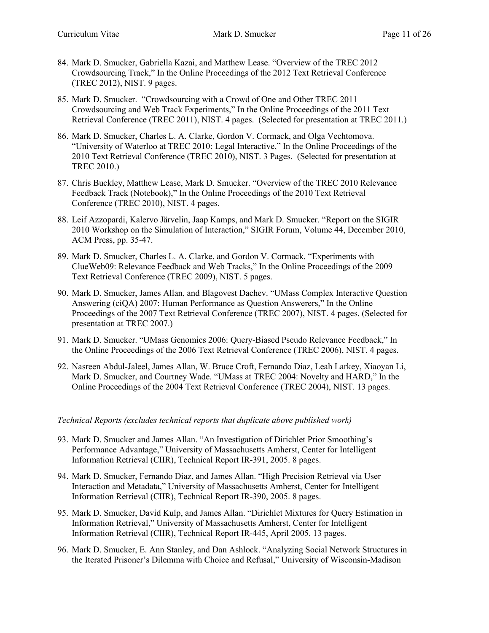- 84. Mark D. Smucker, Gabriella Kazai, and Matthew Lease. "Overview of the TREC 2012 Crowdsourcing Track," In the Online Proceedings of the 2012 Text Retrieval Conference (TREC 2012), NIST. 9 pages.
- 85. Mark D. Smucker. "Crowdsourcing with a Crowd of One and Other TREC 2011 Crowdsourcing and Web Track Experiments," In the Online Proceedings of the 2011 Text Retrieval Conference (TREC 2011), NIST. 4 pages. (Selected for presentation at TREC 2011.)
- 86. Mark D. Smucker, Charles L. A. Clarke, Gordon V. Cormack, and Olga Vechtomova. "University of Waterloo at TREC 2010: Legal Interactive," In the Online Proceedings of the 2010 Text Retrieval Conference (TREC 2010), NIST. 3 Pages. (Selected for presentation at TREC 2010.)
- 87. Chris Buckley, Matthew Lease, Mark D. Smucker. "Overview of the TREC 2010 Relevance Feedback Track (Notebook)," In the Online Proceedings of the 2010 Text Retrieval Conference (TREC 2010), NIST. 4 pages.
- 88. Leif Azzopardi, Kalervo Järvelin, Jaap Kamps, and Mark D. Smucker. "Report on the SIGIR 2010 Workshop on the Simulation of Interaction," SIGIR Forum, Volume 44, December 2010, ACM Press, pp. 35-47.
- 89. Mark D. Smucker, Charles L. A. Clarke, and Gordon V. Cormack. "Experiments with ClueWeb09: Relevance Feedback and Web Tracks," In the Online Proceedings of the 2009 Text Retrieval Conference (TREC 2009), NIST. 5 pages.
- 90. Mark D. Smucker, James Allan, and Blagovest Dachev. "UMass Complex Interactive Question Answering (ciQA) 2007: Human Performance as Question Answerers," In the Online Proceedings of the 2007 Text Retrieval Conference (TREC 2007), NIST. 4 pages. (Selected for presentation at TREC 2007.)
- 91. Mark D. Smucker. "UMass Genomics 2006: Query-Biased Pseudo Relevance Feedback," In the Online Proceedings of the 2006 Text Retrieval Conference (TREC 2006), NIST. 4 pages.
- 92. Nasreen Abdul-Jaleel, James Allan, W. Bruce Croft, Fernando Diaz, Leah Larkey, Xiaoyan Li, Mark D. Smucker, and Courtney Wade. "UMass at TREC 2004: Novelty and HARD," In the Online Proceedings of the 2004 Text Retrieval Conference (TREC 2004), NIST. 13 pages.

#### *Technical Reports (excludes technical reports that duplicate above published work)*

- 93. Mark D. Smucker and James Allan. "An Investigation of Dirichlet Prior Smoothing's Performance Advantage," University of Massachusetts Amherst, Center for Intelligent Information Retrieval (CIIR), Technical Report IR-391, 2005. 8 pages.
- 94. Mark D. Smucker, Fernando Diaz, and James Allan. "High Precision Retrieval via User Interaction and Metadata," University of Massachusetts Amherst, Center for Intelligent Information Retrieval (CIIR), Technical Report IR-390, 2005. 8 pages.
- 95. Mark D. Smucker, David Kulp, and James Allan. "Dirichlet Mixtures for Query Estimation in Information Retrieval," University of Massachusetts Amherst, Center for Intelligent Information Retrieval (CIIR), Technical Report IR-445, April 2005. 13 pages.
- <span id="page-10-0"></span>96. Mark D. Smucker, E. Ann Stanley, and Dan Ashlock. "Analyzing Social Network Structures in the Iterated Prisoner's Dilemma with Choice and Refusal," University of Wisconsin-Madison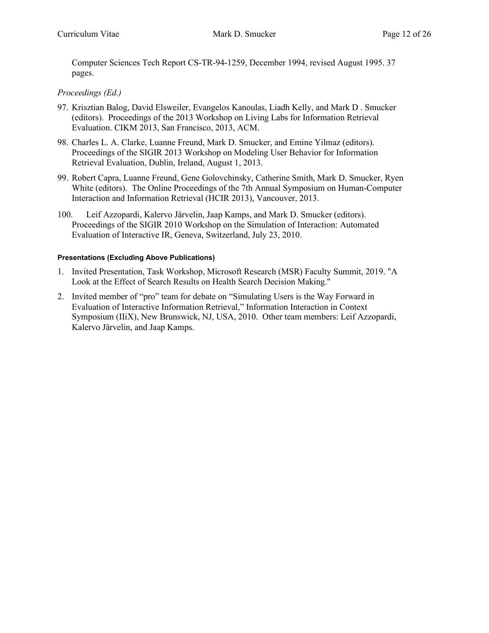Computer Sciences Tech Report CS-TR-94-1259, December 1994, revised August 1995. 37 pages.

#### *Proceedings (Ed.)*

- 97. Krisztian Balog, David Elsweiler, Evangelos Kanoulas, Liadh Kelly, and Mark D . Smucker (editors). Proceedings of the 2013 Workshop on Living Labs for Information Retrieval Evaluation. CIKM 2013, San Francisco, 2013, ACM.
- 98. Charles L. A. Clarke, Luanne Freund, Mark D. Smucker, and Emine Yilmaz (editors). Proceedings of the SIGIR 2013 Workshop on Modeling User Behavior for Information Retrieval Evaluation, Dublin, Ireland, August 1, 2013.
- 99. Robert Capra, Luanne Freund, Gene Golovchinsky, Catherine Smith, Mark D. Smucker, Ryen White (editors). The Online Proceedings of the 7th Annual Symposium on Human-Computer Interaction and Information Retrieval (HCIR 2013), Vancouver, 2013.
- 100. Leif Azzopardi, Kalervo Järvelin, Jaap Kamps, and Mark D. Smucker (editors). Proceedings of the SIGIR 2010 Workshop on the Simulation of Interaction: Automated Evaluation of Interactive IR, Geneva, Switzerland, July 23, 2010.

#### **Presentations (Excluding Above Publications)**

- 1. Invited Presentation, Task Workshop, Microsoft Research (MSR) Faculty Summit, 2019. "A Look at the Effect of Search Results on Health Search Decision Making."
- 2. Invited member of "pro" team for debate on "Simulating Users is the Way Forward in Evaluation of Interactive Information Retrieval," Information Interaction in Context Symposium (IIiX), New Brunswick, NJ, USA, 2010. Other team members: Leif Azzopardi, Kalervo Järvelin, and Jaap Kamps.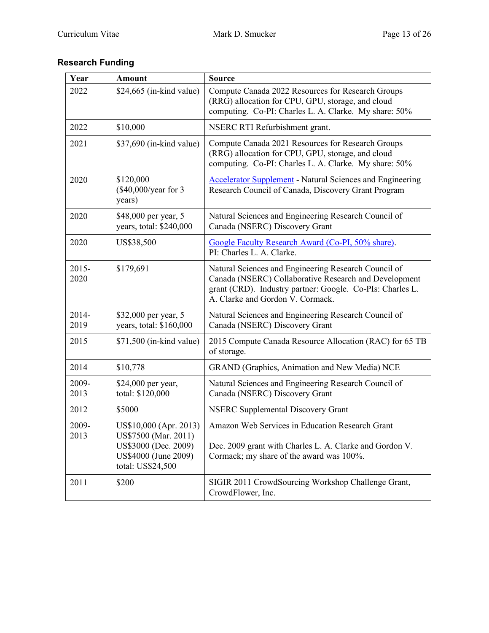# **Research Funding**

| Year             | <b>Amount</b>                                                                                                       | <b>Source</b>                                                                                                                                                                                                  |  |  |
|------------------|---------------------------------------------------------------------------------------------------------------------|----------------------------------------------------------------------------------------------------------------------------------------------------------------------------------------------------------------|--|--|
| 2022             | $$24,665$ (in-kind value)                                                                                           | Compute Canada 2022 Resources for Research Groups<br>(RRG) allocation for CPU, GPU, storage, and cloud<br>computing. Co-PI: Charles L. A. Clarke. My share: 50%                                                |  |  |
| 2022             | \$10,000                                                                                                            | NSERC RTI Refurbishment grant.                                                                                                                                                                                 |  |  |
| 2021             | \$37,690 (in-kind value)                                                                                            | Compute Canada 2021 Resources for Research Groups<br>(RRG) allocation for CPU, GPU, storage, and cloud<br>computing. Co-PI: Charles L. A. Clarke. My share: 50%                                                |  |  |
| 2020             | \$120,000<br>(\$40,000/year for 3<br>years)                                                                         | <b>Accelerator Supplement</b> - Natural Sciences and Engineering<br>Research Council of Canada, Discovery Grant Program                                                                                        |  |  |
| 2020             | \$48,000 per year, 5<br>years, total: \$240,000                                                                     | Natural Sciences and Engineering Research Council of<br>Canada (NSERC) Discovery Grant                                                                                                                         |  |  |
| 2020             | US\$38,500                                                                                                          | Google Faculty Research Award (Co-PI, 50% share).<br>PI: Charles L. A. Clarke.                                                                                                                                 |  |  |
| $2015 -$<br>2020 | \$179,691                                                                                                           | Natural Sciences and Engineering Research Council of<br>Canada (NSERC) Collaborative Research and Development<br>grant (CRD). Industry partner: Google. Co-PIs: Charles L.<br>A. Clarke and Gordon V. Cormack. |  |  |
| 2014-<br>2019    | \$32,000 per year, 5<br>years, total: \$160,000                                                                     | Natural Sciences and Engineering Research Council of<br>Canada (NSERC) Discovery Grant                                                                                                                         |  |  |
| 2015             | \$71,500 (in-kind value)                                                                                            | 2015 Compute Canada Resource Allocation (RAC) for 65 TB<br>of storage.                                                                                                                                         |  |  |
| 2014             | \$10,778                                                                                                            | GRAND (Graphics, Animation and New Media) NCE                                                                                                                                                                  |  |  |
| 2009-<br>2013    | \$24,000 per year,<br>total: \$120,000                                                                              | Natural Sciences and Engineering Research Council of<br>Canada (NSERC) Discovery Grant                                                                                                                         |  |  |
| 2012             | \$5000                                                                                                              | <b>NSERC Supplemental Discovery Grant</b>                                                                                                                                                                      |  |  |
| 2009-<br>2013    | US\$10,000 (Apr. 2013)<br>US\$7500 (Mar. 2011)<br>US\$3000 (Dec. 2009)<br>US\$4000 (June 2009)<br>total: US\$24,500 | Amazon Web Services in Education Research Grant<br>Dec. 2009 grant with Charles L. A. Clarke and Gordon V.<br>Cormack; my share of the award was 100%.                                                         |  |  |
| 2011             | \$200                                                                                                               | SIGIR 2011 CrowdSourcing Workshop Challenge Grant,<br>CrowdFlower, Inc.                                                                                                                                        |  |  |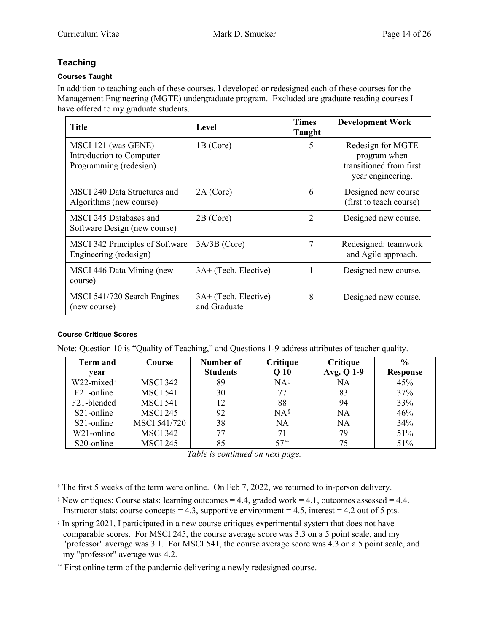# **Teaching**

#### **Courses Taught**

In addition to teaching each of these courses, I developed or redesigned each of these courses for the Management Engineering (MGTE) undergraduate program. Excluded are graduate reading courses I have offered to my graduate students.

| <b>Title</b>                                                              | Level                                | <b>Times</b><br>Taught | <b>Development Work</b>                                                           |
|---------------------------------------------------------------------------|--------------------------------------|------------------------|-----------------------------------------------------------------------------------|
| MSCI 121 (was GENE)<br>Introduction to Computer<br>Programming (redesign) | 1B (Core)                            | 5                      | Redesign for MGTE<br>program when<br>transitioned from first<br>year engineering. |
| MSCI 240 Data Structures and<br>Algorithms (new course)                   | $2A$ (Core)                          | 6                      | Designed new course<br>(first to teach course)                                    |
| MSCI 245 Databases and<br>Software Design (new course)                    | $2B$ (Core)                          | 2                      | Designed new course.                                                              |
| MSCI 342 Principles of Software<br>Engineering (redesign)                 | $3A/3B$ (Core)                       | 7                      | Redesigned: teamwork<br>and Agile approach.                                       |
| MSCI 446 Data Mining (new<br>course)                                      | 3A+ (Tech. Elective)                 |                        | Designed new course.                                                              |
| MSCI 541/720 Search Engines<br>(new course)                               | 3A+ (Tech. Elective)<br>and Graduate | 8                      | Designed new course.                                                              |

#### **Course Critique Scores**

Note: Question 10 is "Quality of Teaching," and Questions 1-9 address attributes of teacher quality.

| <b>Term and</b>                              | Course              | Number of       | Critique        | Critique   | $\frac{0}{0}$   |
|----------------------------------------------|---------------------|-----------------|-----------------|------------|-----------------|
| vear                                         |                     | <b>Students</b> | Q <sub>10</sub> | Avg. Q 1-9 | <b>Response</b> |
| $W22$ -mixed <sup><math>\dagger</math></sup> | <b>MSCI 342</b>     | 89              | $NA^{\ddagger}$ | <b>NA</b>  | 45%             |
| F21-online                                   | <b>MSCI 541</b>     | 30              | 77              | 83         | 37%             |
| F <sub>21</sub> -blended                     | <b>MSCI 541</b>     | 12              | 88              | 94         | 33%             |
| S <sub>21</sub> -online                      | <b>MSCI 245</b>     | 92              | $NA^{\S}$       | <b>NA</b>  | 46%             |
| S <sub>21</sub> -online                      | <b>MSCI 541/720</b> | 38              | <b>NA</b>       | <b>NA</b>  | 34%             |
| W <sub>21</sub> -online                      | <b>MSCI 342</b>     | 77              | 71              | 79         | 51%             |
| S <sub>20</sub> -online                      | <b>MSCI 245</b>     | 85              | $57**$          | 75         | 51%             |

*Table is continued on next page.*

<span id="page-13-0"></span><sup>&</sup>lt;sup>†</sup> The first 5 weeks of the term were online. On Feb 7, 2022, we returned to in-person delivery.

<span id="page-13-1"></span> $\ddagger$  New critiques: Course stats: learning outcomes = 4.4, graded work = 4.1, outcomes assessed = 4.4. Instructor stats: course concepts = 4.3, supportive environment = 4.5, interest = 4.2 out of 5 pts.

<span id="page-13-2"></span><sup>§</sup> In spring 2021, I participated in a new course critiques experimental system that does not have comparable scores. For MSCI 245, the course average score was 3.3 on a 5 point scale, and my "professor" average was 3.1. For MSCI 541, the course average score was 4.3 on a 5 point scale, and my "professor" average was 4.2.

<span id="page-13-3"></span><sup>\*\*</sup> First online term of the pandemic delivering a newly redesigned course.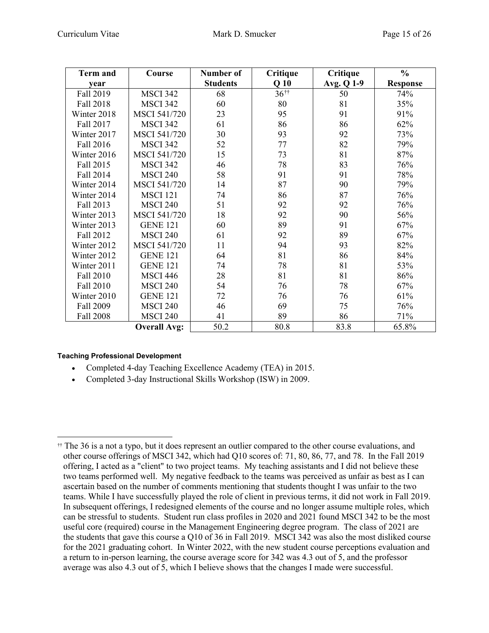| <b>Term and</b>  | Course              | Number of       | Critique           | Critique   | $\frac{0}{0}$   |
|------------------|---------------------|-----------------|--------------------|------------|-----------------|
| year             |                     | <b>Students</b> | Q <sub>10</sub>    | Avg. Q 1-9 | <b>Response</b> |
| Fall 2019        | <b>MSCI 342</b>     | 68              | $36$ <sup>††</sup> | 50         | 74%             |
| Fall 2018        | <b>MSCI 342</b>     | 60              | 80                 | 81         | 35%             |
| Winter 2018      | <b>MSCI 541/720</b> | 23              | 95                 | 91         | 91%             |
| Fall 2017        | <b>MSCI 342</b>     | 61              | 86                 | 86         | 62%             |
| Winter 2017      | <b>MSCI 541/720</b> | 30              | 93                 | 92         | 73%             |
| Fall 2016        | <b>MSCI 342</b>     | 52              | 77                 | 82         | 79%             |
| Winter 2016      | <b>MSCI 541/720</b> | 15              | 73                 | 81         | 87%             |
| Fall 2015        | <b>MSCI 342</b>     | 46              | 78                 | 83         | 76%             |
| Fall 2014        | <b>MSCI 240</b>     | 58              | 91                 | 91         | 78%             |
| Winter 2014      | <b>MSCI 541/720</b> | 14              | 87                 | 90         | 79%             |
| Winter 2014      | <b>MSCI 121</b>     | 74              | 86                 | 87         | 76%             |
| Fall 2013        | <b>MSCI 240</b>     | 51              | 92                 | 92         | 76%             |
| Winter 2013      | <b>MSCI 541/720</b> | 18              | 92                 | 90         | 56%             |
| Winter 2013      | <b>GENE 121</b>     | 60              | 89                 | 91         | 67%             |
| Fall 2012        | <b>MSCI 240</b>     | 61              | 92                 | 89         | 67%             |
| Winter 2012      | <b>MSCI 541/720</b> | 11              | 94                 | 93         | 82%             |
| Winter 2012      | <b>GENE 121</b>     | 64              | 81                 | 86         | 84%             |
| Winter 2011      | <b>GENE 121</b>     | 74              | 78                 | 81         | 53%             |
| Fall 2010        | <b>MSCI 446</b>     | 28              | 81                 | 81         | 86%             |
| Fall 2010        | <b>MSCI 240</b>     | 54              | 76                 | 78         | 67%             |
| Winter 2010      | <b>GENE 121</b>     | 72              | 76                 | 76         | 61%             |
| Fall 2009        | <b>MSCI 240</b>     | 46              | 69                 | 75         | 76%             |
| <b>Fall 2008</b> | <b>MSCI 240</b>     | 41              | 89                 | 86         | 71%             |
|                  | <b>Overall Avg:</b> | 50.2            | 80.8               | 83.8       | 65.8%           |

#### **Teaching Professional Development**

- Completed 4-day Teaching Excellence Academy (TEA) in 2015.
- Completed 3-day Instructional Skills Workshop (ISW) in 2009.

<span id="page-14-0"></span><sup>††</sup> The 36 is a not a typo, but it does represent an outlier compared to the other course evaluations, and other course offerings of MSCI 342, which had Q10 scores of: 71, 80, 86, 77, and 78. In the Fall 2019 offering, I acted as a "client" to two project teams. My teaching assistants and I did not believe these two teams performed well. My negative feedback to the teams was perceived as unfair as best as I can ascertain based on the number of comments mentioning that students thought I was unfair to the two teams. While I have successfully played the role of client in previous terms, it did not work in Fall 2019. In subsequent offerings, I redesigned elements of the course and no longer assume multiple roles, which can be stressful to students. Student run class profiles in 2020 and 2021 found MSCI 342 to be the most useful core (required) course in the Management Engineering degree program. The class of 2021 are the students that gave this course a Q10 of 36 in Fall 2019. MSCI 342 was also the most disliked course for the 2021 graduating cohort. In Winter 2022, with the new student course perceptions evaluation and a return to in-person learning, the course average score for 342 was 4.3 out of 5, and the professor average was also 4.3 out of 5, which I believe shows that the changes I made were successful.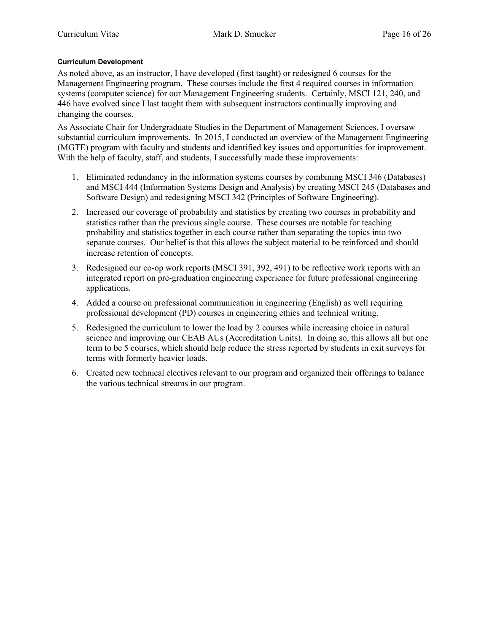#### **Curriculum Development**

As noted above, as an instructor, I have developed (first taught) or redesigned 6 courses for the Management Engineering program. These courses include the first 4 required courses in information systems (computer science) for our Management Engineering students. Certainly, MSCI 121, 240, and 446 have evolved since I last taught them with subsequent instructors continually improving and changing the courses.

As Associate Chair for Undergraduate Studies in the Department of Management Sciences, I oversaw substantial curriculum improvements. In 2015, I conducted an overview of the Management Engineering (MGTE) program with faculty and students and identified key issues and opportunities for improvement. With the help of faculty, staff, and students, I successfully made these improvements:

- 1. Eliminated redundancy in the information systems courses by combining MSCI 346 (Databases) and MSCI 444 (Information Systems Design and Analysis) by creating MSCI 245 (Databases and Software Design) and redesigning MSCI 342 (Principles of Software Engineering).
- 2. Increased our coverage of probability and statistics by creating two courses in probability and statistics rather than the previous single course. These courses are notable for teaching probability and statistics together in each course rather than separating the topics into two separate courses. Our belief is that this allows the subject material to be reinforced and should increase retention of concepts.
- 3. Redesigned our co-op work reports (MSCI 391, 392, 491) to be reflective work reports with an integrated report on pre-graduation engineering experience for future professional engineering applications.
- 4. Added a course on professional communication in engineering (English) as well requiring professional development (PD) courses in engineering ethics and technical writing.
- 5. Redesigned the curriculum to lower the load by 2 courses while increasing choice in natural science and improving our CEAB AUs (Accreditation Units). In doing so, this allows all but one term to be 5 courses, which should help reduce the stress reported by students in exit surveys for terms with formerly heavier loads.
- 6. Created new technical electives relevant to our program and organized their offerings to balance the various technical streams in our program.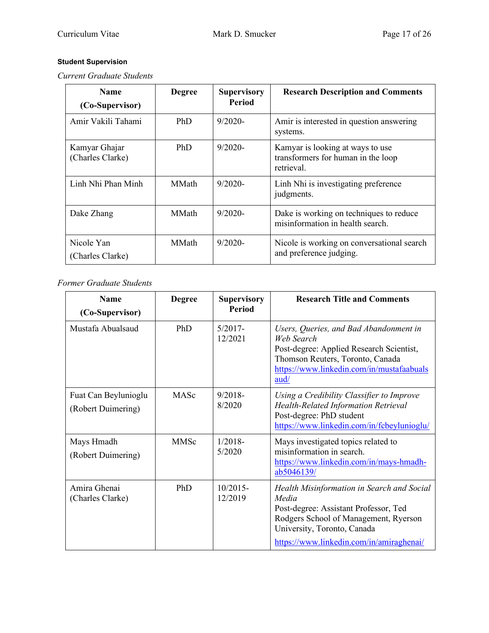# **Student Supervision**

*Current Graduate Students*

| <b>Name</b><br>(Co-Supervisor)    | <b>Degree</b> | <b>Supervisory</b><br><b>Period</b> | <b>Research Description and Comments</b>                                             |
|-----------------------------------|---------------|-------------------------------------|--------------------------------------------------------------------------------------|
| Amir Vakili Tahami                | PhD           | $9/2020 -$                          | Amir is interested in question answering<br>systems.                                 |
| Kamyar Ghajar<br>(Charles Clarke) | PhD           | $9/2020$ -                          | Kamyar is looking at ways to use<br>transformers for human in the loop<br>retrieval. |
| Linh Nhi Phan Minh                | <b>MMath</b>  | $9/2020$ -                          | Linh Nhi is investigating preference<br>judgments.                                   |
| Dake Zhang                        | <b>MMath</b>  | $9/2020$ -                          | Dake is working on techniques to reduce<br>misinformation in health search.          |
| Nicole Yan<br>(Charles Clarke)    | <b>MMath</b>  | $9/2020$ -                          | Nicole is working on conversational search<br>and preference judging.                |

*Former Graduate Students*

| <b>Name</b><br>(Co-Supervisor)             | <b>Degree</b> | <b>Supervisory</b><br><b>Period</b> | <b>Research Title and Comments</b>                                                                                                                                                                                 |
|--------------------------------------------|---------------|-------------------------------------|--------------------------------------------------------------------------------------------------------------------------------------------------------------------------------------------------------------------|
| Mustafa Abualsaud                          | PhD           | $5/2017 -$<br>12/2021               | Users, Queries, and Bad Abandonment in<br>Web Search<br>Post-degree: Applied Research Scientist,<br>Thomson Reuters, Toronto, Canada<br>https://www.linkedin.com/in/mustafaabuals<br>$\frac{\text{aud}}{\text{d}}$ |
| Fuat Can Beylunioglu<br>(Robert Duimering) | MASc          | 9/2018<br>8/2020                    | Using a Credibility Classifier to Improve<br><b>Health-Related Information Retrieval</b><br>Post-degree: PhD student<br>https://www.linkedin.com/in/fcbeylunioglu/                                                 |
| Mays Hmadh<br>(Robert Duimering)           | <b>MMSc</b>   | $1/2018-$<br>5/2020                 | Mays investigated topics related to<br>misinformation in search.<br>https://www.linkedin.com/in/mays-hmadh-<br>ab5046139/                                                                                          |
| Amira Ghenai<br>(Charles Clarke)           | PhD           | $10/2015 -$<br>12/2019              | Health Misinformation in Search and Social<br>Media<br>Post-degree: Assistant Professor, Ted<br>Rodgers School of Management, Ryerson<br>University, Toronto, Canada<br>https://www.linkedin.com/in/amiraghenai/   |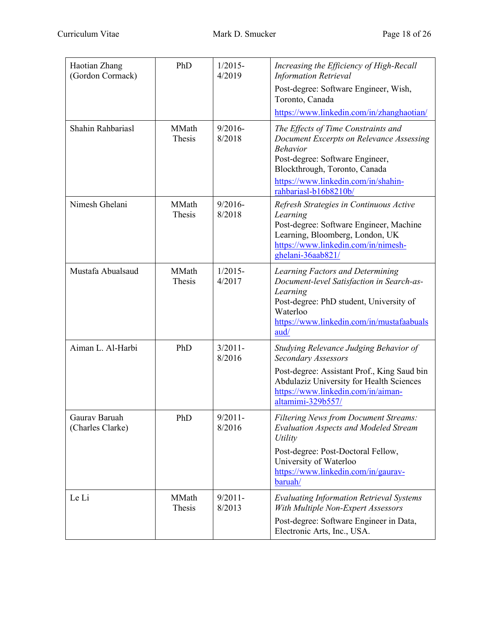| Haotian Zhang<br>(Gordon Cormack) | PhD                    | $1/2015$ -<br>4/2019 | Increasing the Efficiency of High-Recall<br><b>Information Retrieval</b>                                                                                                                                                               |
|-----------------------------------|------------------------|----------------------|----------------------------------------------------------------------------------------------------------------------------------------------------------------------------------------------------------------------------------------|
|                                   |                        |                      | Post-degree: Software Engineer, Wish,<br>Toronto, Canada                                                                                                                                                                               |
|                                   |                        |                      | https://www.linkedin.com/in/zhanghaotian/                                                                                                                                                                                              |
| Shahin Rahbariasl                 | MMath<br>Thesis        | $9/2016 -$<br>8/2018 | The Effects of Time Constraints and<br>Document Excerpts on Relevance Assessing<br><b>Behavior</b><br>Post-degree: Software Engineer,<br>Blockthrough, Toronto, Canada<br>https://www.linkedin.com/in/shahin-<br>rahbariasl-b16b8210b/ |
| Nimesh Ghelani                    | MMath<br>Thesis        | $9/2016 -$<br>8/2018 | Refresh Strategies in Continuous Active<br>Learning<br>Post-degree: Software Engineer, Machine<br>Learning, Bloomberg, London, UK<br>https://www.linkedin.com/in/nimesh-<br>ghelani-36aab821/                                          |
| Mustafa Abualsaud                 | MMath<br><b>Thesis</b> | $1/2015-$<br>4/2017  | Learning Factors and Determining<br>Document-level Satisfaction in Search-as-<br>Learning<br>Post-degree: PhD student, University of<br>Waterloo<br>https://www.linkedin.com/in/mustafaabuals<br>aud/                                  |
| Aiman L. Al-Harbi                 | PhD                    | $3/2011 -$<br>8/2016 | Studying Relevance Judging Behavior of<br>Secondary Assessors                                                                                                                                                                          |
|                                   |                        |                      | Post-degree: Assistant Prof., King Saud bin<br>Abdulaziz University for Health Sciences<br>https://www.linkedin.com/in/aiman-<br>altamimi-329b557/                                                                                     |
| Gaurav Baruah<br>(Charles Clarke) | PhD                    | $9/2011 -$<br>8/2016 | <b>Filtering News from Document Streams:</b><br><b>Evaluation Aspects and Modeled Stream</b><br>Utility                                                                                                                                |
|                                   |                        |                      | Post-degree: Post-Doctoral Fellow,<br>University of Waterloo<br>https://www.linkedin.com/in/gaurav-<br>baruah/                                                                                                                         |
| Le Li                             | MMath<br>Thesis        | $9/2011 -$<br>8/2013 | <b>Evaluating Information Retrieval Systems</b><br>With Multiple Non-Expert Assessors                                                                                                                                                  |
|                                   |                        |                      | Post-degree: Software Engineer in Data,<br>Electronic Arts, Inc., USA.                                                                                                                                                                 |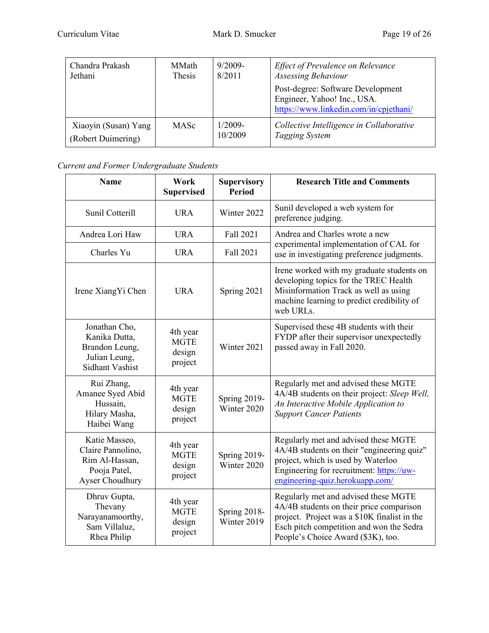| Chandra Prakash      | MMath       | $9/2009-$ | Effect of Prevalence on Relevance                                                                          |
|----------------------|-------------|-----------|------------------------------------------------------------------------------------------------------------|
| Jethani              | Thesis      | 8/2011    | Assessing Behaviour                                                                                        |
|                      |             |           | Post-degree: Software Development<br>Engineer, Yahoo! Inc., USA.<br>https://www.linkedin.com/in/cpjethani/ |
| Xiaoyin (Susan) Yang | <b>MASc</b> | $1/2009-$ | Collective Intelligence in Collaborative                                                                   |
| (Robert Duimering)   |             | 10/2009   | Tagging System                                                                                             |

# *Current and Former Undergraduate Students*

| <b>Name</b>                                                                                 | Work<br><b>Supervised</b>                    | <b>Supervisory</b><br><b>Period</b> | <b>Research Title and Comments</b>                                                                                                                                                                                 |
|---------------------------------------------------------------------------------------------|----------------------------------------------|-------------------------------------|--------------------------------------------------------------------------------------------------------------------------------------------------------------------------------------------------------------------|
| Sunil Cotterill                                                                             | <b>URA</b>                                   | Winter 2022                         | Sunil developed a web system for<br>preference judging.                                                                                                                                                            |
| Andrea Lori Haw                                                                             | <b>URA</b>                                   | Fall 2021                           | Andrea and Charles wrote a new                                                                                                                                                                                     |
| Charles Yu                                                                                  | <b>URA</b>                                   | Fall 2021                           | experimental implementation of CAL for<br>use in investigating preference judgments.                                                                                                                               |
| Irene XiangYi Chen                                                                          | <b>URA</b>                                   | Spring 2021                         | Irene worked with my graduate students on<br>developing topics for the TREC Health<br>Misinformation Track as well as using<br>machine learning to predict credibility of<br>web URLs.                             |
| Jonathan Cho,<br>Kanika Dutta,<br>Brandon Leung,<br>Julian Leung,<br><b>Sidhant Vashist</b> | 4th year<br><b>MGTE</b><br>design<br>project | Winter 2021                         | Supervised these 4B students with their<br>FYDP after their supervisor unexpectedly<br>passed away in Fall 2020.                                                                                                   |
| Rui Zhang,<br>Amanee Syed Abid<br>Hussain,<br>Hilary Masha,<br>Haibei Wang                  | 4th year<br><b>MGTE</b><br>design<br>project | <b>Spring 2019-</b><br>Winter 2020  | Regularly met and advised these MGTE<br>4A/4B students on their project: Sleep Well,<br>An Interactive Mobile Application to<br><b>Support Cancer Patients</b>                                                     |
| Katie Masseo,<br>Claire Pannolino,<br>Rim Al-Hassan,<br>Pooja Patel,<br>Ayser Choudhury     | 4th year<br><b>MGTE</b><br>design<br>project | Spring 2019-<br>Winter 2020         | Regularly met and advised these MGTE<br>4A/4B students on their "engineering quiz"<br>project, which is used by Waterloo<br>Engineering for recruitment: https://uw-<br>engineering-quiz.herokuapp.com/            |
| Dhruv Gupta,<br>Thevany<br>Narayanamoorthy,<br>Sam Villaluz,<br>Rhea Philip                 | 4th year<br><b>MGTE</b><br>design<br>project | Spring 2018-<br>Winter 2019         | Regularly met and advised these MGTE<br>4A/4B students on their price comparison<br>project. Project was a \$10K finalist in the<br>Esch pitch competition and won the Sedra<br>People's Choice Award (\$3K), too. |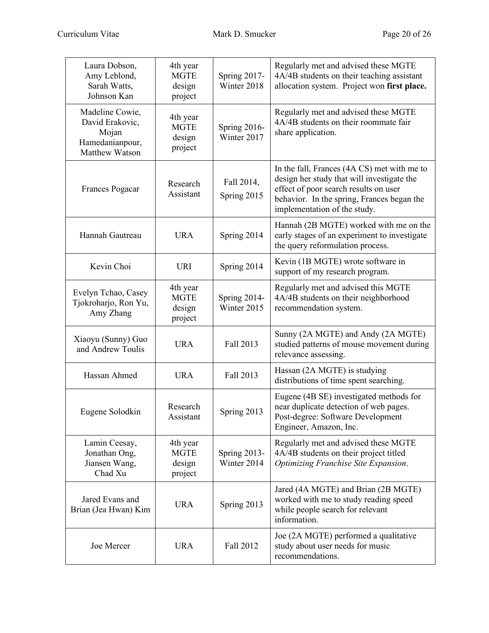| Laura Dobson,<br>Amy Leblond,<br>Sarah Watts,<br>Johnson Kan                     | 4th year<br><b>MGTE</b><br>design<br>project | Spring 2017-<br>Winter 2018        | Regularly met and advised these MGTE<br>4A/4B students on their teaching assistant<br>allocation system. Project won first place.                                                                                |
|----------------------------------------------------------------------------------|----------------------------------------------|------------------------------------|------------------------------------------------------------------------------------------------------------------------------------------------------------------------------------------------------------------|
| Madeline Cowie,<br>David Erakovic,<br>Mojan<br>Hamedanianpour,<br>Matthew Watson | 4th year<br><b>MGTE</b><br>design<br>project | Spring 2016-<br>Winter 2017        | Regularly met and advised these MGTE<br>4A/4B students on their roommate fair<br>share application.                                                                                                              |
| <b>Frances Pogacar</b>                                                           | Research<br>Assistant                        | Fall 2014,<br>Spring 2015          | In the fall, Frances (4A CS) met with me to<br>design her study that will investigate the<br>effect of poor search results on user<br>behavior. In the spring, Frances began the<br>implementation of the study. |
| Hannah Gautreau                                                                  | <b>URA</b>                                   | Spring 2014                        | Hannah (2B MGTE) worked with me on the<br>early stages of an experiment to investigate<br>the query reformulation process.                                                                                       |
| Kevin Choi                                                                       | <b>URI</b>                                   | Spring 2014                        | Kevin (1B MGTE) wrote software in<br>support of my research program.                                                                                                                                             |
| Evelyn Tchao, Casey<br>Tjokroharjo, Ron Yu,<br>Amy Zhang                         | 4th year<br><b>MGTE</b><br>design<br>project | Spring 2014-<br>Winter 2015        | Regularly met and advised this MGTE<br>4A/4B students on their neighborhood<br>recommendation system.                                                                                                            |
| Xiaoyu (Sunny) Guo<br>and Andrew Toulis                                          | <b>URA</b>                                   | Fall 2013                          | Sunny (2A MGTE) and Andy (2A MGTE)<br>studied patterns of mouse movement during<br>relevance assessing.                                                                                                          |
| Hassan Ahmed                                                                     | <b>URA</b>                                   | Fall 2013                          | Hassan (2A MGTE) is studying<br>distributions of time spent searching.                                                                                                                                           |
| Eugene Solodkin                                                                  | Research<br>Assistant                        | Spring 2013                        | Eugene (4B SE) investigated methods for<br>near duplicate detection of web pages.<br>Post-degree: Software Development<br>Engineer, Amazon, Inc.                                                                 |
| Lamin Ceesay,<br>Jonathan Ong,<br>Jiansen Wang,<br>Chad Xu                       | 4th year<br><b>MGTE</b><br>design<br>project | <b>Spring 2013-</b><br>Winter 2014 | Regularly met and advised these MGTE<br>4A/4B students on their project titled<br>Optimizing Franchise Site Expansion.                                                                                           |
| Jared Evans and<br>Brian (Jea Hwan) Kim                                          | <b>URA</b>                                   | Spring 2013                        | Jared (4A MGTE) and Brian (2B MGTE)<br>worked with me to study reading speed<br>while people search for relevant<br>information.                                                                                 |
| Joe Mercer                                                                       | <b>URA</b>                                   | Fall 2012                          | Joe (2A MGTE) performed a qualitative<br>study about user needs for music<br>recommendations.                                                                                                                    |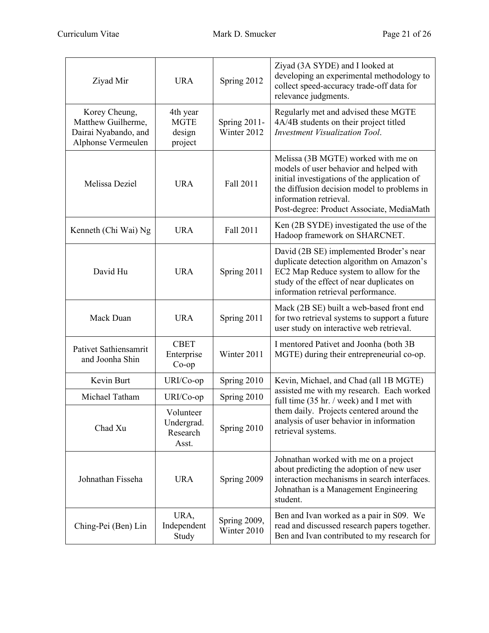| Ziyad Mir                                                                         | <b>URA</b>                                   | Spring 2012                 | Ziyad (3A SYDE) and I looked at<br>developing an experimental methodology to<br>collect speed-accuracy trade-off data for<br>relevance judgments.                                                                                                    |
|-----------------------------------------------------------------------------------|----------------------------------------------|-----------------------------|------------------------------------------------------------------------------------------------------------------------------------------------------------------------------------------------------------------------------------------------------|
| Korey Cheung,<br>Matthew Guilherme,<br>Dairai Nyabando, and<br>Alphonse Vermeulen | 4th year<br><b>MGTE</b><br>design<br>project | Spring 2011-<br>Winter 2012 | Regularly met and advised these MGTE<br>4A/4B students on their project titled<br><b>Investment Visualization Tool.</b>                                                                                                                              |
| Melissa Deziel                                                                    | <b>URA</b>                                   | Fall 2011                   | Melissa (3B MGTE) worked with me on<br>models of user behavior and helped with<br>initial investigations of the application of<br>the diffusion decision model to problems in<br>information retrieval.<br>Post-degree: Product Associate, MediaMath |
| Kenneth (Chi Wai) Ng                                                              | <b>URA</b>                                   | Fall 2011                   | Ken (2B SYDE) investigated the use of the<br>Hadoop framework on SHARCNET.                                                                                                                                                                           |
| David Hu                                                                          | <b>URA</b>                                   | Spring 2011                 | David (2B SE) implemented Broder's near<br>duplicate detection algorithm on Amazon's<br>EC2 Map Reduce system to allow for the<br>study of the effect of near duplicates on<br>information retrieval performance.                                    |
| Mack Duan                                                                         | <b>URA</b>                                   | Spring 2011                 | Mack (2B SE) built a web-based front end<br>for two retrieval systems to support a future<br>user study on interactive web retrieval.                                                                                                                |
| Pativet Sathiensamrit<br>and Joonha Shin                                          | <b>CBET</b><br>Enterprise<br>$Co$ -op        | Winter 2011                 | I mentored Pativet and Joonha (both 3B<br>MGTE) during their entrepreneurial co-op.                                                                                                                                                                  |
| Kevin Burt                                                                        | URI/Co-op                                    | Spring 2010                 | Kevin, Michael, and Chad (all 1B MGTE)                                                                                                                                                                                                               |
| Michael Tatham                                                                    | URI/Co-op                                    | Spring 2010                 | assisted me with my research. Each worked<br>full time (35 hr. / week) and I met with                                                                                                                                                                |
| Chad Xu                                                                           | Volunteer<br>Undergrad.<br>Research<br>Asst. | Spring 2010                 | them daily. Projects centered around the<br>analysis of user behavior in information<br>retrieval systems.                                                                                                                                           |
| Johnathan Fisseha                                                                 | <b>URA</b>                                   | Spring 2009                 | Johnathan worked with me on a project<br>about predicting the adoption of new user<br>interaction mechanisms in search interfaces.<br>Johnathan is a Management Engineering<br>student.                                                              |
| Ching-Pei (Ben) Lin                                                               | URA,<br>Independent<br>Study                 | Spring 2009,<br>Winter 2010 | Ben and Ivan worked as a pair in S09. We<br>read and discussed research papers together.<br>Ben and Ivan contributed to my research for                                                                                                              |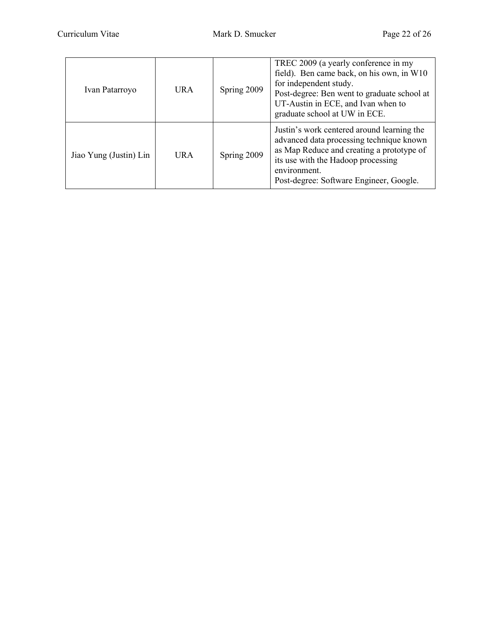| Ivan Patarroyo         | <b>URA</b> | Spring 2009 | TREC 2009 (a yearly conference in my<br>field). Ben came back, on his own, in W10<br>for independent study.<br>Post-degree: Ben went to graduate school at<br>UT-Austin in ECE, and Ivan when to<br>graduate school at UW in ECE.    |
|------------------------|------------|-------------|--------------------------------------------------------------------------------------------------------------------------------------------------------------------------------------------------------------------------------------|
| Jiao Yung (Justin) Lin | URA        | Spring 2009 | Justin's work centered around learning the<br>advanced data processing technique known<br>as Map Reduce and creating a prototype of<br>its use with the Hadoop processing<br>environment.<br>Post-degree: Software Engineer, Google. |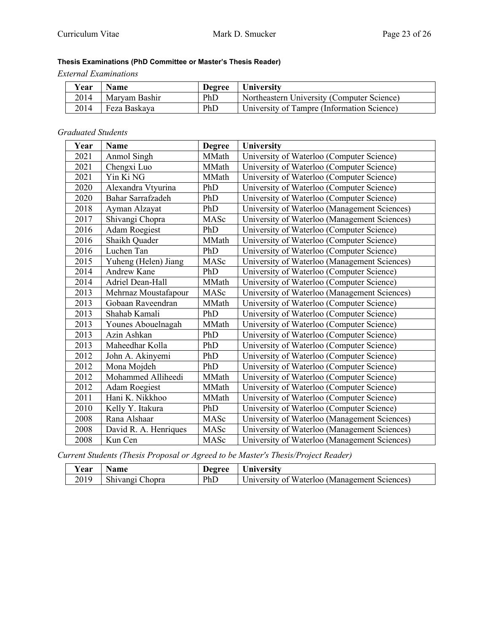# **Thesis Examinations (PhD Committee or Master's Thesis Reader)**

*External Examinations*

| Vear | <b>Name</b>   | Degree | University                                 |
|------|---------------|--------|--------------------------------------------|
| 2014 | Maryam Bashir | PhD    | Northeastern University (Computer Science) |
| 2014 | Feza Baskaya  | PhD    | University of Tampre (Information Science) |

#### *Graduated Students*

| Year | <b>Name</b>             | <b>Degree</b> | <b>University</b>                            |
|------|-------------------------|---------------|----------------------------------------------|
| 2021 | Anmol Singh             | MMath         | University of Waterloo (Computer Science)    |
| 2021 | Chengxi Luo             | MMath         | University of Waterloo (Computer Science)    |
| 2021 | Yin Ki NG               | MMath         | University of Waterloo (Computer Science)    |
| 2020 | Alexandra Vtyurina      | PhD           | University of Waterloo (Computer Science)    |
| 2020 | Bahar Sarrafzadeh       | PhD           | University of Waterloo (Computer Science)    |
| 2018 | Ayman Alzayat           | PhD           | University of Waterloo (Management Sciences) |
| 2017 | Shivangi Chopra         | MASc          | University of Waterloo (Management Sciences) |
| 2016 | <b>Adam Roegiest</b>    | PhD           | University of Waterloo (Computer Science)    |
| 2016 | Shaikh Quader           | MMath         | University of Waterloo (Computer Science)    |
| 2016 | Luchen Tan              | PhD           | University of Waterloo (Computer Science)    |
| 2015 | Yuheng (Helen) Jiang    | MASc          | University of Waterloo (Management Sciences) |
| 2014 | Andrew Kane             | PhD           | University of Waterloo (Computer Science)    |
| 2014 | <b>Adriel Dean-Hall</b> | MMath         | University of Waterloo (Computer Science)    |
| 2013 | Mehrnaz Moustafapour    | MASc          | University of Waterloo (Management Sciences) |
| 2013 | Gobaan Raveendran       | MMath         | University of Waterloo (Computer Science)    |
| 2013 | Shahab Kamali           | PhD           | University of Waterloo (Computer Science)    |
| 2013 | Younes Abouelnagah      | MMath         | University of Waterloo (Computer Science)    |
| 2013 | Azin Ashkan             | PhD           | University of Waterloo (Computer Science)    |
| 2013 | Maheedhar Kolla         | PhD           | University of Waterloo (Computer Science)    |
| 2012 | John A. Akinyemi        | PhD           | University of Waterloo (Computer Science)    |
| 2012 | Mona Mojdeh             | PhD           | University of Waterloo (Computer Science)    |
| 2012 | Mohammed Alliheedi      | MMath         | University of Waterloo (Computer Science)    |
| 2012 | <b>Adam Roegiest</b>    | MMath         | University of Waterloo (Computer Science)    |
| 2011 | Hani K. Nikkhoo         | MMath         | University of Waterloo (Computer Science)    |
| 2010 | Kelly Y. Itakura        | PhD           | University of Waterloo (Computer Science)    |
| 2008 | Rana Alshaar            | MASc          | University of Waterloo (Management Sciences) |
| 2008 | David R. A. Henriques   | MASc          | University of Waterloo (Management Sciences) |
| 2008 | Kun Cen                 | MASc          | University of Waterloo (Management Sciences) |

*Current Students (Thesis Proposal or Agreed to be Master's Thesis/Project Reader)*

| Year | <b>Name</b>     | Degree | University                                   |
|------|-----------------|--------|----------------------------------------------|
| 2019 | Shivangi Chopra | PhD    | University of Waterloo (Management Sciences) |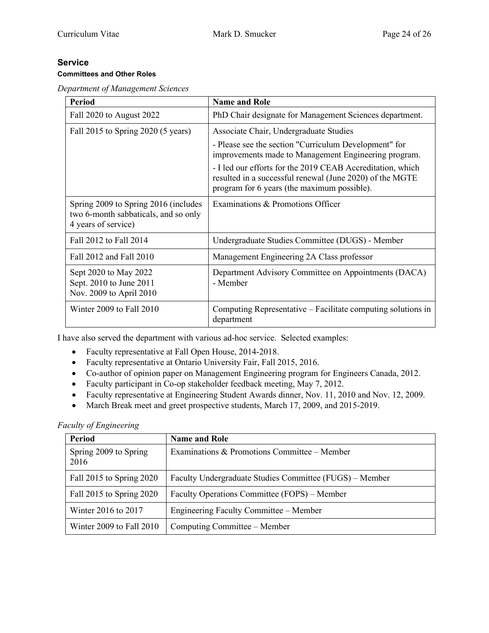#### **Service Committees and Other Roles**

*Department of Management Sciences*

| <b>Period</b>                                                                                       | <b>Name and Role</b>                                                                                                                                                  |
|-----------------------------------------------------------------------------------------------------|-----------------------------------------------------------------------------------------------------------------------------------------------------------------------|
| Fall 2020 to August 2022                                                                            | PhD Chair designate for Management Sciences department.                                                                                                               |
| Fall 2015 to Spring 2020 (5 years)                                                                  | Associate Chair, Undergraduate Studies                                                                                                                                |
|                                                                                                     | - Please see the section "Curriculum Development" for<br>improvements made to Management Engineering program.                                                         |
|                                                                                                     | - I led our efforts for the 2019 CEAB Accreditation, which<br>resulted in a successful renewal (June 2020) of the MGTE<br>program for 6 years (the maximum possible). |
| Spring 2009 to Spring 2016 (includes<br>two 6-month sabbaticals, and so only<br>4 years of service) | Examinations & Promotions Officer                                                                                                                                     |
| Fall 2012 to Fall 2014                                                                              | Undergraduate Studies Committee (DUGS) - Member                                                                                                                       |
| Fall 2012 and Fall 2010                                                                             | Management Engineering 2A Class professor                                                                                                                             |
| Sept 2020 to May 2022<br>Sept. 2010 to June 2011<br>Nov. 2009 to April 2010                         | Department Advisory Committee on Appointments (DACA)<br>- Member                                                                                                      |
| Winter 2009 to Fall 2010                                                                            | Computing Representative – Facilitate computing solutions in<br>department                                                                                            |

I have also served the department with various ad-hoc service. Selected examples:

- Faculty representative at Fall Open House, 2014-2018.
- Faculty representative at Ontario University Fair, Fall 2015, 2016.
- Co-author of opinion paper on Management Engineering program for Engineers Canada, 2012.
- Faculty participant in Co-op stakeholder feedback meeting, May 7, 2012.
- Faculty representative at Engineering Student Awards dinner, Nov. 11, 2010 and Nov. 12, 2009.
- March Break meet and greet prospective students, March 17, 2009, and 2015-2019.

*Faculty of Engineering*

| Period                        | <b>Name and Role</b>                                    |
|-------------------------------|---------------------------------------------------------|
| Spring 2009 to Spring<br>2016 | Examinations & Promotions Committee – Member            |
| Fall 2015 to Spring 2020      | Faculty Undergraduate Studies Committee (FUGS) – Member |
| Fall 2015 to Spring 2020      | Faculty Operations Committee (FOPS) – Member            |
| Winter 2016 to 2017           | Engineering Faculty Committee – Member                  |
| Winter 2009 to Fall 2010      | Computing Committee – Member                            |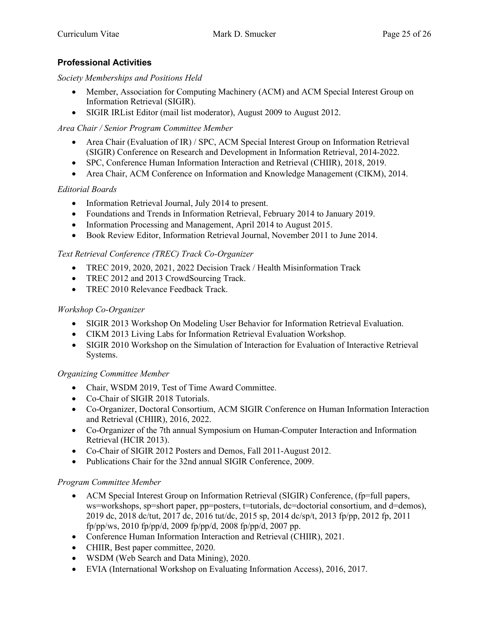# **Professional Activities**

*Society Memberships and Positions Held*

- Member, Association for Computing Machinery (ACM) and ACM Special Interest Group on Information Retrieval (SIGIR).
- SIGIR IRList Editor (mail list moderator), August 2009 to August 2012.

# *Area Chair / Senior Program Committee Member*

- Area Chair (Evaluation of IR) / SPC, ACM Special Interest Group on Information Retrieval (SIGIR) Conference on Research and Development in Information Retrieval, 2014-2022.
- SPC, Conference Human Information Interaction and Retrieval (CHIIR), 2018, 2019.
- Area Chair, ACM Conference on Information and Knowledge Management (CIKM), 2014.

# *Editorial Boards*

- Information Retrieval Journal, July 2014 to present.
- Foundations and Trends in Information Retrieval, February 2014 to January 2019.
- Information Processing and Management, April 2014 to August 2015.
- Book Review Editor, Information Retrieval Journal, November 2011 to June 2014.

# *Text Retrieval Conference (TREC) Track Co-Organizer*

- TREC 2019, 2020, 2021, 2022 Decision Track / Health Misinformation Track
- TREC 2012 and 2013 CrowdSourcing Track.
- TREC 2010 Relevance Feedback Track.

# *Workshop Co-Organizer*

- SIGIR 2013 Workshop On Modeling User Behavior for Information Retrieval Evaluation.
- CIKM 2013 Living Labs for Information Retrieval Evaluation Workshop.
- SIGIR 2010 Workshop on the Simulation of Interaction for Evaluation of Interactive Retrieval Systems.

# *Organizing Committee Member*

- Chair, WSDM 2019, Test of Time Award Committee.
- Co-Chair of SIGIR 2018 Tutorials.
- Co-Organizer, Doctoral Consortium, ACM SIGIR Conference on Human Information Interaction and Retrieval (CHIIR), 2016, 2022.
- Co-Organizer of the 7th annual Symposium on Human-Computer Interaction and Information Retrieval (HCIR 2013).
- Co-Chair of SIGIR 2012 Posters and Demos, Fall 2011-August 2012.
- Publications Chair for the 32nd annual SIGIR Conference, 2009.

# *Program Committee Member*

- ACM Special Interest Group on Information Retrieval (SIGIR) Conference, (fp=full papers, ws=workshops, sp=short paper, pp=posters, t=tutorials, dc=doctorial consortium, and d=demos), 2019 dc, 2018 dc/tut, 2017 dc, 2016 tut/dc, 2015 sp, 2014 dc/sp/t, 2013 fp/pp, 2012 fp, 2011 fp/pp/ws, 2010 fp/pp/d, 2009 fp/pp/d, 2008 fp/pp/d, 2007 pp.
- Conference Human Information Interaction and Retrieval (CHIIR), 2021.
- CHIIR, Best paper committee, 2020.
- WSDM (Web Search and Data Mining), 2020.
- EVIA (International Workshop on Evaluating Information Access), 2016, 2017.